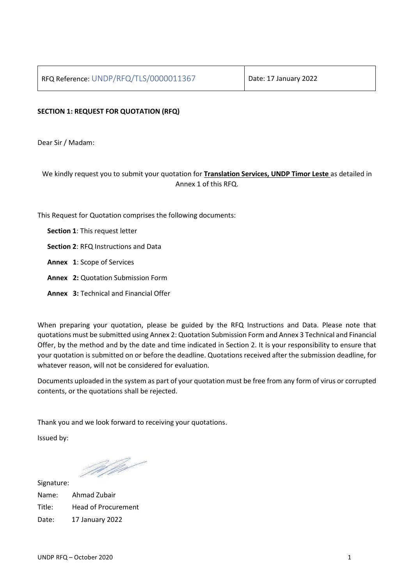## **SECTION 1: REQUEST FOR QUOTATION (RFQ)**

Dear Sir / Madam:

We kindly request you to submit your quotation for **Translation Services, UNDP Timor Leste** as detailed in Annex 1 of this RFQ.

This Request for Quotation comprises the following documents:

- **Section 1**: This request letter
- **Section 2**: RFQ Instructions and Data
- **Annex 1**: Scope of Services
- **Annex 2:** Quotation Submission Form
- **Annex 3:** Technical and Financial Offer

When preparing your quotation, please be guided by the RFQ Instructions and Data. Please note that quotations must be submitted using Annex 2: Quotation Submission Form and Annex 3 Technical and Financial Offer, by the method and by the date and time indicated in Section 2. It is your responsibility to ensure that your quotation is submitted on or before the deadline. Quotations received after the submission deadline, for whatever reason, will not be considered for evaluation.

Documents uploaded in the system as part of your quotation must be free from any form of virus or corrupted contents, or the quotations shall be rejected.

Thank you and we look forward to receiving your quotations.

Issued by:

Melgr

Signature: Name: Ahmad Zubair Title: Head of Procurement Date: 17 January 2022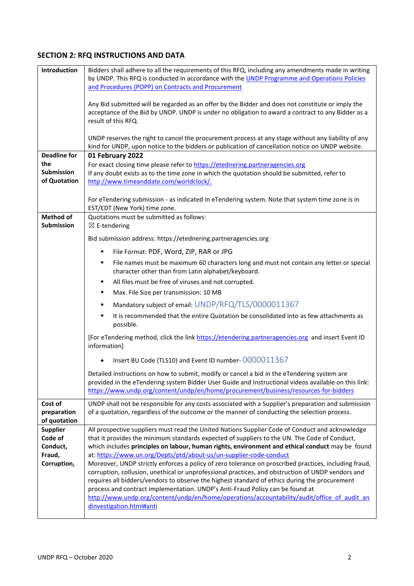# **SECTION 2: RFQ INSTRUCTIONS AND DATA**

| Introduction                           | Bidders shall adhere to all the requirements of this RFQ, including any amendments made in writing                                                                                                                                                                                          |  |  |  |  |
|----------------------------------------|---------------------------------------------------------------------------------------------------------------------------------------------------------------------------------------------------------------------------------------------------------------------------------------------|--|--|--|--|
|                                        | by UNDP. This RFQ is conducted in accordance with the UNDP Programme and Operations Policies<br>and Procedures (POPP) on Contracts and Procurement                                                                                                                                          |  |  |  |  |
|                                        | Any Bid submitted will be regarded as an offer by the Bidder and does not constitute or imply the<br>acceptance of the Bid by UNDP. UNDP is under no obligation to award a contract to any Bidder as a<br>result of this RFQ.                                                               |  |  |  |  |
|                                        | UNDP reserves the right to cancel the procurement process at any stage without any liability of any                                                                                                                                                                                         |  |  |  |  |
| <b>Deadline for</b>                    | kind for UNDP, upon notice to the bidders or publication of cancellation notice on UNDP website.<br>01 February 2022                                                                                                                                                                        |  |  |  |  |
| the                                    | For exact closing time please refer to https://etednering.partneragencies.org                                                                                                                                                                                                               |  |  |  |  |
| <b>Submission</b>                      | If any doubt exists as to the time zone in which the quotation should be submitted, refer to                                                                                                                                                                                                |  |  |  |  |
| of Quotation                           | http://www.timeanddate.com/worldclock/.                                                                                                                                                                                                                                                     |  |  |  |  |
|                                        | For eTendering submission - as indicated in eTendering system. Note that system time zone is in<br>EST/EDT (New York) time zone.                                                                                                                                                            |  |  |  |  |
| <b>Method of</b><br><b>Submission</b>  | Quotations must be submitted as follows:<br>$\boxtimes$ E-tendering                                                                                                                                                                                                                         |  |  |  |  |
|                                        | Bid submission address: https://etednering.partneragencies.org                                                                                                                                                                                                                              |  |  |  |  |
|                                        | File Format: PDF, Word, ZIP, RAR or JPG<br>٠                                                                                                                                                                                                                                                |  |  |  |  |
|                                        | File names must be maximum 60 characters long and must not contain any letter or special<br>٠<br>character other than from Latin alphabet/keyboard.                                                                                                                                         |  |  |  |  |
|                                        | All files must be free of viruses and not corrupted.<br>٠                                                                                                                                                                                                                                   |  |  |  |  |
|                                        | Max. File Size per transmission: 10 MB<br>٠                                                                                                                                                                                                                                                 |  |  |  |  |
|                                        | Mandatory subject of email: UNDP/RFQ/TLS/0000011367<br>٠                                                                                                                                                                                                                                    |  |  |  |  |
|                                        | It is recommended that the entire Quotation be consolidated into as few attachments as<br>٠<br>possible.                                                                                                                                                                                    |  |  |  |  |
|                                        | [For eTendering method, click the link https://etendering.partneragencies.org and insert Event ID<br>information]                                                                                                                                                                           |  |  |  |  |
|                                        | Insert BU Code (TLS10) and Event ID number- 0000011367                                                                                                                                                                                                                                      |  |  |  |  |
|                                        | Detailed instructions on how to submit, modify or cancel a bid in the eTendering system are<br>provided in the eTendering system Bidder User Guide and Instructional videos available on this link:<br>https://www.undp.org/content/undp/en/home/procurement/business/resources-for-bidders |  |  |  |  |
| Cost of<br>preparation<br>of quotation | UNDP shall not be responsible for any costs associated with a Supplier's preparation and submission<br>of a quotation, regardless of the outcome or the manner of conducting the selection process.                                                                                         |  |  |  |  |
| <b>Supplier</b>                        | All prospective suppliers must read the United Nations Supplier Code of Conduct and acknowledge                                                                                                                                                                                             |  |  |  |  |
| Code of                                | that it provides the minimum standards expected of suppliers to the UN. The Code of Conduct,                                                                                                                                                                                                |  |  |  |  |
| Conduct,                               | which includes principles on labour, human rights, environment and ethical conduct may be found                                                                                                                                                                                             |  |  |  |  |
| Fraud,<br>Corruption,                  | at: https://www.un.org/Depts/ptd/about-us/un-supplier-code-conduct<br>Moreover, UNDP strictly enforces a policy of zero tolerance on proscribed practices, including fraud,                                                                                                                 |  |  |  |  |
|                                        | corruption, collusion, unethical or unprofessional practices, and obstruction of UNDP vendors and                                                                                                                                                                                           |  |  |  |  |
|                                        | requires all bidders/vendors to observe the highest standard of ethics during the procurement                                                                                                                                                                                               |  |  |  |  |
|                                        | process and contract implementation. UNDP's Anti-Fraud Policy can be found at                                                                                                                                                                                                               |  |  |  |  |
|                                        | http://www.undp.org/content/undp/en/home/operations/accountability/audit/office of audit an<br>dinvestigation.html#anti                                                                                                                                                                     |  |  |  |  |
|                                        |                                                                                                                                                                                                                                                                                             |  |  |  |  |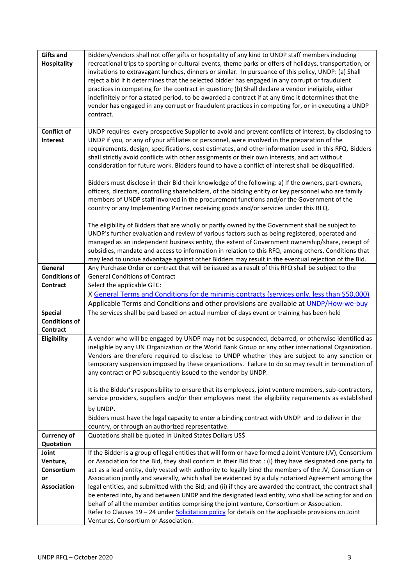| <b>Gifts and</b>     | Bidders/vendors shall not offer gifts or hospitality of any kind to UNDP staff members including                                                                                                                 |
|----------------------|------------------------------------------------------------------------------------------------------------------------------------------------------------------------------------------------------------------|
| <b>Hospitality</b>   | recreational trips to sporting or cultural events, theme parks or offers of holidays, transportation, or<br>invitations to extravagant lunches, dinners or similar. In pursuance of this policy, UNDP: (a) Shall |
|                      | reject a bid if it determines that the selected bidder has engaged in any corrupt or fraudulent                                                                                                                  |
|                      | practices in competing for the contract in question; (b) Shall declare a vendor ineligible, either                                                                                                               |
|                      | indefinitely or for a stated period, to be awarded a contract if at any time it determines that the<br>vendor has engaged in any corrupt or fraudulent practices in competing for, or in executing a UNDP        |
|                      | contract.                                                                                                                                                                                                        |
|                      |                                                                                                                                                                                                                  |
| <b>Conflict of</b>   | UNDP requires every prospective Supplier to avoid and prevent conflicts of interest, by disclosing to                                                                                                            |
| Interest             | UNDP if you, or any of your affiliates or personnel, were involved in the preparation of the<br>requirements, design, specifications, cost estimates, and other information used in this RFQ. Bidders            |
|                      | shall strictly avoid conflicts with other assignments or their own interests, and act without                                                                                                                    |
|                      | consideration for future work. Bidders found to have a conflict of interest shall be disqualified.                                                                                                               |
|                      | Bidders must disclose in their Bid their knowledge of the following: a) If the owners, part-owners,                                                                                                              |
|                      | officers, directors, controlling shareholders, of the bidding entity or key personnel who are family                                                                                                             |
|                      | members of UNDP staff involved in the procurement functions and/or the Government of the                                                                                                                         |
|                      | country or any Implementing Partner receiving goods and/or services under this RFQ.                                                                                                                              |
|                      | The eligibility of Bidders that are wholly or partly owned by the Government shall be subject to                                                                                                                 |
|                      | UNDP's further evaluation and review of various factors such as being registered, operated and                                                                                                                   |
|                      | managed as an independent business entity, the extent of Government ownership/share, receipt of                                                                                                                  |
|                      | subsidies, mandate and access to information in relation to this RFQ, among others. Conditions that<br>may lead to undue advantage against other Bidders may result in the eventual rejection of the Bid.        |
| General              | Any Purchase Order or contract that will be issued as a result of this RFQ shall be subject to the                                                                                                               |
| <b>Conditions of</b> | <b>General Conditions of Contract</b>                                                                                                                                                                            |
| <b>Contract</b>      | Select the applicable GTC:                                                                                                                                                                                       |
|                      | X General Terms and Conditions for de minimis contracts (services only, less than \$50,000)<br>Applicable Terms and Conditions and other provisions are available at UNDP/How-we-buy                             |
| <b>Special</b>       | The services shall be paid based on actual number of days event or training has been held                                                                                                                        |
| <b>Conditions of</b> |                                                                                                                                                                                                                  |
| Contract             |                                                                                                                                                                                                                  |
| Eligibility          | A vendor who will be engaged by UNDP may not be suspended, debarred, or otherwise identified as                                                                                                                  |
|                      | ineligible by any UN Organization or the World Bank Group or any other international Organization.<br>Vendors are therefore required to disclose to UNDP whether they are subject to any sanction or             |
|                      | temporary suspension imposed by these organizations. Failure to do so may result in termination of                                                                                                               |
|                      | any contract or PO subsequently issued to the vendor by UNDP.                                                                                                                                                    |
|                      | It is the Bidder's responsibility to ensure that its employees, joint venture members, sub-contractors,                                                                                                          |
|                      | service providers, suppliers and/or their employees meet the eligibility requirements as established                                                                                                             |
|                      | by UNDP.                                                                                                                                                                                                         |
|                      | Bidders must have the legal capacity to enter a binding contract with UNDP and to deliver in the                                                                                                                 |
|                      | country, or through an authorized representative.                                                                                                                                                                |
| <b>Currency of</b>   | Quotations shall be quoted in United States Dollars US\$                                                                                                                                                         |
| Quotation<br>Joint   | If the Bidder is a group of legal entities that will form or have formed a Joint Venture (JV), Consortium                                                                                                        |
| Venture,             | or Association for the Bid, they shall confirm in their Bid that : (i) they have designated one party to                                                                                                         |
| Consortium           | act as a lead entity, duly vested with authority to legally bind the members of the JV, Consortium or                                                                                                            |
| or                   | Association jointly and severally, which shall be evidenced by a duly notarized Agreement among the                                                                                                              |
| <b>Association</b>   | legal entities, and submitted with the Bid; and (ii) if they are awarded the contract, the contract shall                                                                                                        |
|                      | be entered into, by and between UNDP and the designated lead entity, who shall be acting for and on<br>behalf of all the member entities comprising the joint venture, Consortium or Association.                |
|                      | Refer to Clauses 19 - 24 under Solicitation policy for details on the applicable provisions on Joint                                                                                                             |
|                      | Ventures, Consortium or Association.                                                                                                                                                                             |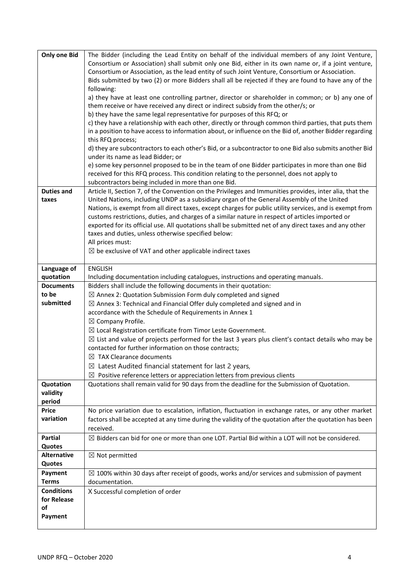| <b>Only one Bid</b> | The Bidder (including the Lead Entity on behalf of the individual members of any Joint Venture,                                                   |
|---------------------|---------------------------------------------------------------------------------------------------------------------------------------------------|
|                     | Consortium or Association) shall submit only one Bid, either in its own name or, if a joint venture,                                              |
|                     | Consortium or Association, as the lead entity of such Joint Venture, Consortium or Association.                                                   |
|                     | Bids submitted by two (2) or more Bidders shall all be rejected if they are found to have any of the                                              |
|                     | following:                                                                                                                                        |
|                     | a) they have at least one controlling partner, director or shareholder in common; or b) any one of                                                |
|                     | them receive or have received any direct or indirect subsidy from the other/s; or                                                                 |
|                     | b) they have the same legal representative for purposes of this RFQ; or                                                                           |
|                     | c) they have a relationship with each other, directly or through common third parties, that puts them                                             |
|                     | in a position to have access to information about, or influence on the Bid of, another Bidder regarding                                           |
|                     | this RFQ process;                                                                                                                                 |
|                     | d) they are subcontractors to each other's Bid, or a subcontractor to one Bid also submits another Bid                                            |
|                     | under its name as lead Bidder; or                                                                                                                 |
|                     | e) some key personnel proposed to be in the team of one Bidder participates in more than one Bid                                                  |
|                     | received for this RFQ process. This condition relating to the personnel, does not apply to<br>subcontractors being included in more than one Bid. |
| <b>Duties and</b>   | Article II, Section 7, of the Convention on the Privileges and Immunities provides, inter alia, that the                                          |
| taxes               | United Nations, including UNDP as a subsidiary organ of the General Assembly of the United                                                        |
|                     | Nations, is exempt from all direct taxes, except charges for public utility services, and is exempt from                                          |
|                     | customs restrictions, duties, and charges of a similar nature in respect of articles imported or                                                  |
|                     | exported for its official use. All quotations shall be submitted net of any direct taxes and any other                                            |
|                     | taxes and duties, unless otherwise specified below:                                                                                               |
|                     | All prices must:                                                                                                                                  |
|                     | $\boxtimes$ be exclusive of VAT and other applicable indirect taxes                                                                               |
|                     |                                                                                                                                                   |
| Language of         | <b>ENGLISH</b>                                                                                                                                    |
| quotation           | Including documentation including catalogues, instructions and operating manuals.                                                                 |
| <b>Documents</b>    | Bidders shall include the following documents in their quotation:                                                                                 |
| to be               | $\boxtimes$ Annex 2: Quotation Submission Form duly completed and signed                                                                          |
| submitted           | $\boxtimes$ Annex 3: Technical and Financial Offer duly completed and signed and in                                                               |
|                     | accordance with the Schedule of Requirements in Annex 1                                                                                           |
|                     | $\boxtimes$ Company Profile.                                                                                                                      |
|                     | $\boxtimes$ Local Registration certificate from Timor Leste Government.                                                                           |
|                     | $\boxtimes$ List and value of projects performed for the last 3 years plus client's contact details who may be                                    |
|                     | contacted for further information on those contracts;                                                                                             |
|                     | $\boxtimes$ TAX Clearance documents                                                                                                               |
|                     | $\boxtimes$ Latest Audited financial statement for last 2 years,                                                                                  |
|                     | $\boxtimes$ Positive reference letters or appreciation letters from previous clients                                                              |
| Quotation           | Quotations shall remain valid for 90 days from the deadline for the Submission of Quotation.                                                      |
| validity<br>period  |                                                                                                                                                   |
| <b>Price</b>        | No price variation due to escalation, inflation, fluctuation in exchange rates, or any other market                                               |
| variation           | factors shall be accepted at any time during the validity of the quotation after the quotation has been                                           |
|                     | received.                                                                                                                                         |
| Partial             | $\boxtimes$ Bidders can bid for one or more than one LOT. Partial Bid within a LOT will not be considered.                                        |
| Quotes              |                                                                                                                                                   |
| <b>Alternative</b>  | $\boxtimes$ Not permitted                                                                                                                         |
| Quotes              |                                                                                                                                                   |
| Payment             | $\boxtimes$ 100% within 30 days after receipt of goods, works and/or services and submission of payment                                           |
| <b>Terms</b>        | documentation.                                                                                                                                    |
| <b>Conditions</b>   | X Successful completion of order                                                                                                                  |
| for Release         |                                                                                                                                                   |
| of                  |                                                                                                                                                   |
| Payment             |                                                                                                                                                   |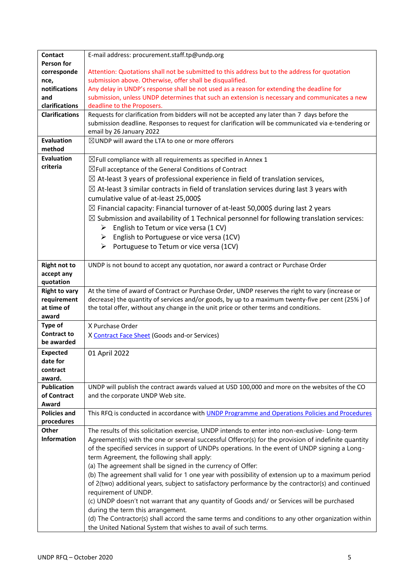| <b>Contact</b>                | E-mail address: procurement.staff.tp@undp.org                                                                                                                                                         |
|-------------------------------|-------------------------------------------------------------------------------------------------------------------------------------------------------------------------------------------------------|
| Person for                    |                                                                                                                                                                                                       |
| corresponde                   | Attention: Quotations shall not be submitted to this address but to the address for quotation                                                                                                         |
| nce,                          | submission above. Otherwise, offer shall be disqualified.                                                                                                                                             |
| notifications                 | Any delay in UNDP's response shall be not used as a reason for extending the deadline for                                                                                                             |
| and                           | submission, unless UNDP determines that such an extension is necessary and communicates a new                                                                                                         |
| clarifications                | deadline to the Proposers.                                                                                                                                                                            |
| <b>Clarifications</b>         | Requests for clarification from bidders will not be accepted any later than 7 days before the                                                                                                         |
|                               | submission deadline. Responses to request for clarification will be communicated via e-tendering or                                                                                                   |
|                               | email by 26 January 2022                                                                                                                                                                              |
| <b>Evaluation</b>             | ⊠UNDP will award the LTA to one or more offerors                                                                                                                                                      |
| method                        |                                                                                                                                                                                                       |
| <b>Evaluation</b><br>criteria | $\boxtimes$ Full compliance with all requirements as specified in Annex 1                                                                                                                             |
|                               | $\boxtimes$ Full acceptance of the General Conditions of Contract                                                                                                                                     |
|                               | $\boxtimes$ At-least 3 years of professional experience in field of translation services,                                                                                                             |
|                               | $\boxtimes$ At-least 3 similar contracts in field of translation services during last 3 years with                                                                                                    |
|                               | cumulative value of at-least 25,000\$                                                                                                                                                                 |
|                               | $\boxtimes$ Financial capacity: Financial turnover of at-least 50,000\$ during last 2 years                                                                                                           |
|                               | $\boxtimes$ Submission and availability of 1 Technical personnel for following translation services:                                                                                                  |
|                               | English to Tetum or vice versa (1 CV)<br>➤                                                                                                                                                            |
|                               | English to Portuguese or vice versa (1CV)<br>➤                                                                                                                                                        |
|                               | Portuguese to Tetum or vice versa (1CV)<br>➤                                                                                                                                                          |
|                               |                                                                                                                                                                                                       |
| <b>Right not to</b>           | UNDP is not bound to accept any quotation, nor award a contract or Purchase Order                                                                                                                     |
| accept any                    |                                                                                                                                                                                                       |
| quotation                     |                                                                                                                                                                                                       |
| <b>Right to vary</b>          | At the time of award of Contract or Purchase Order, UNDP reserves the right to vary (increase or                                                                                                      |
| requirement                   | decrease) the quantity of services and/or goods, by up to a maximum twenty-five per cent (25%) of                                                                                                     |
| at time of                    | the total offer, without any change in the unit price or other terms and conditions.                                                                                                                  |
| award                         |                                                                                                                                                                                                       |
| Type of                       | X Purchase Order                                                                                                                                                                                      |
| <b>Contract to</b>            | X Contract Face Sheet (Goods and-or Services)                                                                                                                                                         |
| be awarded                    |                                                                                                                                                                                                       |
| <b>Expected</b>               | 01 April 2022                                                                                                                                                                                         |
| date for                      |                                                                                                                                                                                                       |
| contract                      |                                                                                                                                                                                                       |
| award.                        |                                                                                                                                                                                                       |
| <b>Publication</b>            | UNDP will publish the contract awards valued at USD 100,000 and more on the websites of the CO                                                                                                        |
| of Contract                   | and the corporate UNDP Web site.                                                                                                                                                                      |
| Award                         |                                                                                                                                                                                                       |
| <b>Policies and</b>           | This RFQ is conducted in accordance with UNDP Programme and Operations Policies and Procedures                                                                                                        |
| procedures<br>Other           |                                                                                                                                                                                                       |
| <b>Information</b>            | The results of this solicitation exercise, UNDP intends to enter into non-exclusive- Long-term<br>Agreement(s) with the one or several successful Offeror(s) for the provision of indefinite quantity |
|                               | of the specified services in support of UNDPs operations. In the event of UNDP signing a Long-                                                                                                        |
|                               | term Agreement, the following shall apply:                                                                                                                                                            |
|                               | (a) The agreement shall be signed in the currency of Offer:                                                                                                                                           |
|                               | (b) The agreement shall valid for 1 one year with possibility of extension up to a maximum period                                                                                                     |
|                               | of 2(two) additional years, subject to satisfactory performance by the contractor(s) and continued                                                                                                    |
|                               | requirement of UNDP.                                                                                                                                                                                  |
|                               | (c) UNDP doesn't not warrant that any quantity of Goods and/ or Services will be purchased                                                                                                            |
|                               | during the term this arrangement.                                                                                                                                                                     |
|                               | (d) The Contractor(s) shall accord the same terms and conditions to any other organization within                                                                                                     |
|                               | the United National System that wishes to avail of such terms.                                                                                                                                        |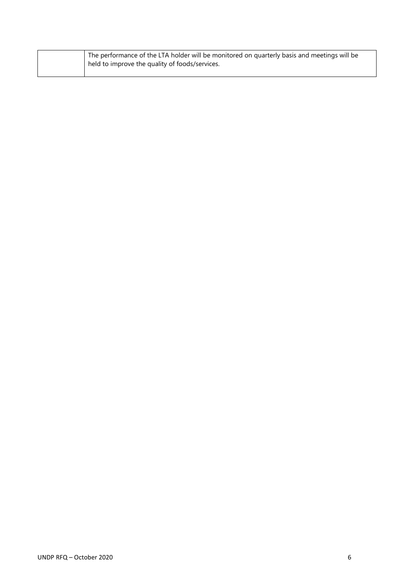| The performance of the LTA holder will be monitored on quarterly basis and meetings will be |
|---------------------------------------------------------------------------------------------|
| held to improve the quality of foods/services.                                              |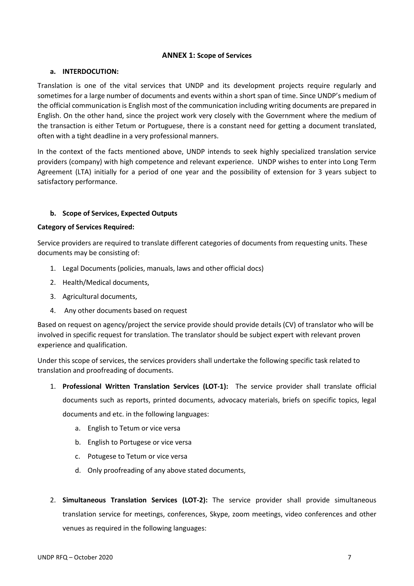### **ANNEX 1: Scope of Services**

### **a. INTERDOCUTION:**

Translation is one of the vital services that UNDP and its development projects require regularly and sometimes for a large number of documents and events within a short span of time. Since UNDP's medium of the official communication is English most of the communication including writing documents are prepared in English. On the other hand, since the project work very closely with the Government where the medium of the transaction is either Tetum or Portuguese, there is a constant need for getting a document translated, often with a tight deadline in a very professional manners.

In the context of the facts mentioned above, UNDP intends to seek highly specialized translation service providers (company) with high competence and relevant experience. UNDP wishes to enter into Long Term Agreement (LTA) initially for a period of one year and the possibility of extension for 3 years subject to satisfactory performance.

## **b. Scope of Services, Expected Outputs**

### **Category of Services Required:**

Service providers are required to translate different categories of documents from requesting units. These documents may be consisting of:

- 1. Legal Documents (policies, manuals, laws and other official docs)
- 2. Health/Medical documents,
- 3. Agricultural documents,
- 4. Any other documents based on request

Based on request on agency/project the service provide should provide details (CV) of translator who will be involved in specific request for translation. The translator should be subject expert with relevant proven experience and qualification.

Under this scope of services, the services providers shall undertake the following specific task related to translation and proofreading of documents.

1. **Professional Written Translation Services (LOT-1):** The service provider shall translate official documents such as reports, printed documents, advocacy materials, briefs on specific topics, legal

documents and etc. in the following languages:

- a. English to Tetum or vice versa
- b. English to Portugese or vice versa
- c. Potugese to Tetum or vice versa
- d. Only proofreading of any above stated documents,
- 2. **Simultaneous Translation Services (LOT-2):** The service provider shall provide simultaneous translation service for meetings, conferences, Skype, zoom meetings, video conferences and other venues as required in the following languages: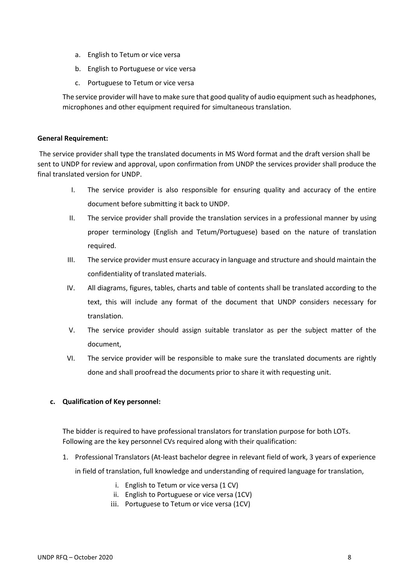- a. English to Tetum or vice versa
- b. English to Portuguese or vice versa
- c. Portuguese to Tetum or vice versa

The service provider will have to make sure that good quality of audio equipment such as headphones, microphones and other equipment required for simultaneous translation.

### **General Requirement:**

The service provider shall type the translated documents in MS Word format and the draft version shall be sent to UNDP for review and approval, upon confirmation from UNDP the services provider shall produce the final translated version for UNDP.

- I. The service provider is also responsible for ensuring quality and accuracy of the entire document before submitting it back to UNDP.
- II. The service provider shall provide the translation services in a professional manner by using proper terminology (English and Tetum/Portuguese) based on the nature of translation required.
- III. The service provider must ensure accuracy in language and structure and should maintain the confidentiality of translated materials.
- IV. All diagrams, figures, tables, charts and table of contents shall be translated according to the text, this will include any format of the document that UNDP considers necessary for translation.
- V. The service provider should assign suitable translator as per the subject matter of the document,
- VI. The service provider will be responsible to make sure the translated documents are rightly done and shall proofread the documents prior to share it with requesting unit.

## **c. Qualification of Key personnel:**

The bidder is required to have professional translators for translation purpose for both LOTs. Following are the key personnel CVs required along with their qualification:

1. Professional Translators (At-least bachelor degree in relevant field of work, 3 years of experience

in field of translation, full knowledge and understanding of required language for translation,

- i. English to Tetum or vice versa (1 CV)
- ii. English to Portuguese or vice versa (1CV)
- iii. Portuguese to Tetum or vice versa (1CV)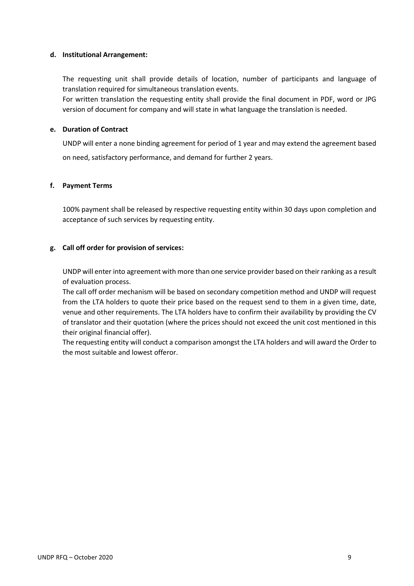### **d. Institutional Arrangement:**

The requesting unit shall provide details of location, number of participants and language of translation required for simultaneous translation events.

For written translation the requesting entity shall provide the final document in PDF, word or JPG version of document for company and will state in what language the translation is needed.

#### **e. Duration of Contract**

UNDP will enter a none binding agreement for period of 1 year and may extend the agreement based on need, satisfactory performance, and demand for further 2 years.

#### **f. Payment Terms**

100% payment shall be released by respective requesting entity within 30 days upon completion and acceptance of such services by requesting entity.

### **g. Call off order for provision of services:**

UNDP will enter into agreement with more than one service provider based on their ranking as a result of evaluation process.

The call off order mechanism will be based on secondary competition method and UNDP will request from the LTA holders to quote their price based on the request send to them in a given time, date, venue and other requirements. The LTA holders have to confirm their availability by providing the CV of translator and their quotation (where the prices should not exceed the unit cost mentioned in this their original financial offer).

The requesting entity will conduct a comparison amongst the LTA holders and will award the Order to the most suitable and lowest offeror.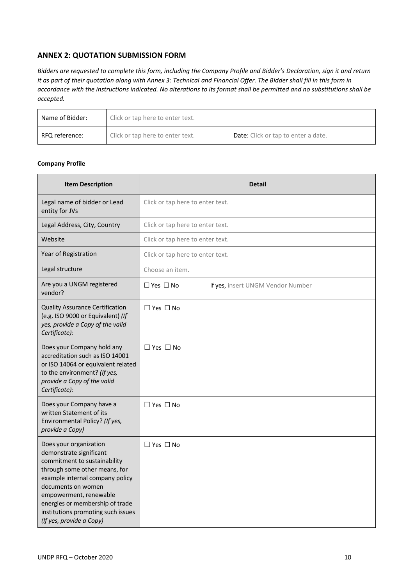# **ANNEX 2: QUOTATION SUBMISSION FORM**

*Bidders are requested to complete this form, including the Company Profile and Bidder's Declaration, sign it and return it as part of their quotation along with Annex 3: Technical and Financial Offer. The Bidder shall fill in this form in accordance with the instructions indicated. No alterations to its format shall be permitted and no substitutions shall be accepted.* 

| Name of Bidder: | Click or tap here to enter text. |                                            |  |
|-----------------|----------------------------------|--------------------------------------------|--|
| RFQ reference:  | Click or tap here to enter text. | <b>Date:</b> Click or tap to enter a date. |  |

#### **Company Profile**

| <b>Item Description</b>                                                                                                                                                                                                                                                                                    | <b>Detail</b>                                             |  |  |
|------------------------------------------------------------------------------------------------------------------------------------------------------------------------------------------------------------------------------------------------------------------------------------------------------------|-----------------------------------------------------------|--|--|
| Legal name of bidder or Lead<br>entity for JVs                                                                                                                                                                                                                                                             | Click or tap here to enter text.                          |  |  |
| Legal Address, City, Country                                                                                                                                                                                                                                                                               | Click or tap here to enter text.                          |  |  |
| Website                                                                                                                                                                                                                                                                                                    | Click or tap here to enter text.                          |  |  |
| Year of Registration                                                                                                                                                                                                                                                                                       | Click or tap here to enter text.                          |  |  |
| Legal structure                                                                                                                                                                                                                                                                                            | Choose an item.                                           |  |  |
| Are you a UNGM registered<br>vendor?                                                                                                                                                                                                                                                                       | $\Box$ Yes $\Box$ No<br>If yes, insert UNGM Vendor Number |  |  |
| <b>Quality Assurance Certification</b><br>(e.g. ISO 9000 or Equivalent) (If<br>yes, provide a Copy of the valid<br>Certificate):                                                                                                                                                                           | $\Box$ Yes $\Box$ No                                      |  |  |
| Does your Company hold any<br>accreditation such as ISO 14001<br>or ISO 14064 or equivalent related<br>to the environment? (If yes,<br>provide a Copy of the valid<br>Certificate):                                                                                                                        | $\Box$ Yes $\Box$ No                                      |  |  |
| Does your Company have a<br>written Statement of its<br>Environmental Policy? (If yes,<br>provide a Copy)                                                                                                                                                                                                  | $\Box$ Yes $\Box$ No                                      |  |  |
| Does your organization<br>demonstrate significant<br>commitment to sustainability<br>through some other means, for<br>example internal company policy<br>documents on women<br>empowerment, renewable<br>energies or membership of trade<br>institutions promoting such issues<br>(If yes, provide a Copy) | $\Box$ Yes $\Box$ No                                      |  |  |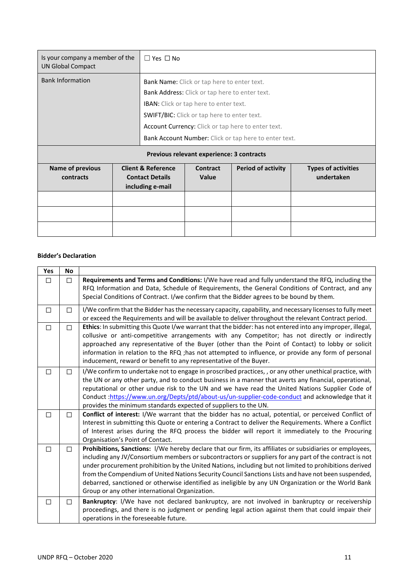| Is your company a member of the<br><b>UN Global Compact</b> |                                           | $\Box$ Yes $\Box$ No                                  |                                                    |                           |                            |
|-------------------------------------------------------------|-------------------------------------------|-------------------------------------------------------|----------------------------------------------------|---------------------------|----------------------------|
| <b>Bank Information</b>                                     |                                           |                                                       | Bank Name: Click or tap here to enter text.        |                           |                            |
|                                                             |                                           | Bank Address: Click or tap here to enter text.        |                                                    |                           |                            |
|                                                             |                                           | <b>IBAN:</b> Click or tap here to enter text.         |                                                    |                           |                            |
|                                                             |                                           |                                                       | <b>SWIFT/BIC:</b> Click or tap here to enter text. |                           |                            |
|                                                             |                                           | Account Currency: Click or tap here to enter text.    |                                                    |                           |                            |
|                                                             |                                           | Bank Account Number: Click or tap here to enter text. |                                                    |                           |                            |
|                                                             | Previous relevant experience: 3 contracts |                                                       |                                                    |                           |                            |
| <b>Name of previous</b>                                     |                                           | <b>Client &amp; Reference</b>                         | <b>Contract</b>                                    | <b>Period of activity</b> | <b>Types of activities</b> |
| contracts                                                   |                                           | <b>Contact Details</b><br>including e-mail            | <b>Value</b>                                       |                           | undertaken                 |
|                                                             |                                           |                                                       |                                                    |                           |                            |
|                                                             |                                           |                                                       |                                                    |                           |                            |
|                                                             |                                           |                                                       |                                                    |                           |                            |

#### **Bidder's Declaration**

| Yes    | <b>No</b> |                                                                                                                                                                                                                                                                                                                                                                                                                                                                                                                                                                                              |
|--------|-----------|----------------------------------------------------------------------------------------------------------------------------------------------------------------------------------------------------------------------------------------------------------------------------------------------------------------------------------------------------------------------------------------------------------------------------------------------------------------------------------------------------------------------------------------------------------------------------------------------|
| П      | П         | Requirements and Terms and Conditions: I/We have read and fully understand the RFQ, including the<br>RFQ Information and Data, Schedule of Requirements, the General Conditions of Contract, and any<br>Special Conditions of Contract. I/we confirm that the Bidder agrees to be bound by them.                                                                                                                                                                                                                                                                                             |
| □      | П         | I/We confirm that the Bidder has the necessary capacity, capability, and necessary licenses to fully meet<br>or exceed the Requirements and will be available to deliver throughout the relevant Contract period.                                                                                                                                                                                                                                                                                                                                                                            |
| $\Box$ | П         | Ethics: In submitting this Quote I/we warrant that the bidder: has not entered into any improper, illegal,<br>collusive or anti-competitive arrangements with any Competitor; has not directly or indirectly<br>approached any representative of the Buyer (other than the Point of Contact) to lobby or solicit<br>information in relation to the RFQ ; has not attempted to influence, or provide any form of personal<br>inducement, reward or benefit to any representative of the Buyer.                                                                                                |
| $\Box$ | П         | I/We confirm to undertake not to engage in proscribed practices, , or any other unethical practice, with<br>the UN or any other party, and to conduct business in a manner that averts any financial, operational,<br>reputational or other undue risk to the UN and we have read the United Nations Supplier Code of<br>Conduct:https://www.un.org/Depts/ptd/about-us/un-supplier-code-conduct and acknowledge that it<br>provides the minimum standards expected of suppliers to the UN.                                                                                                   |
| $\Box$ |           | Conflict of interest: I/We warrant that the bidder has no actual, potential, or perceived Conflict of<br>Interest in submitting this Quote or entering a Contract to deliver the Requirements. Where a Conflict<br>of Interest arises during the RFQ process the bidder will report it immediately to the Procuring<br>Organisation's Point of Contact.                                                                                                                                                                                                                                      |
| П      | п         | Prohibitions, Sanctions: I/We hereby declare that our firm, its affiliates or subsidiaries or employees,<br>including any JV/Consortium members or subcontractors or suppliers for any part of the contract is not<br>under procurement prohibition by the United Nations, including but not limited to prohibitions derived<br>from the Compendium of United Nations Security Council Sanctions Lists and have not been suspended,<br>debarred, sanctioned or otherwise identified as ineligible by any UN Organization or the World Bank<br>Group or any other international Organization. |
| $\Box$ | П         | Bankruptcy: I/We have not declared bankruptcy, are not involved in bankruptcy or receivership<br>proceedings, and there is no judgment or pending legal action against them that could impair their<br>operations in the foreseeable future.                                                                                                                                                                                                                                                                                                                                                 |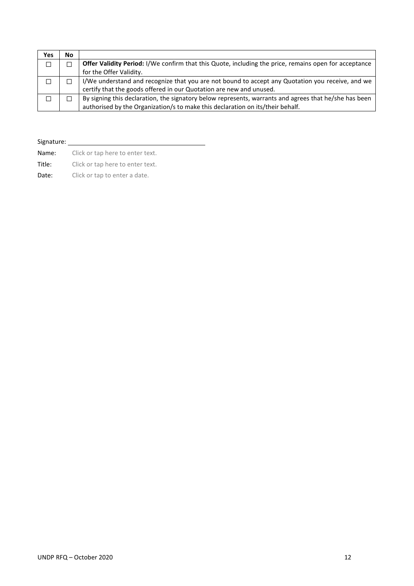| Yes | No |                                                                                                       |
|-----|----|-------------------------------------------------------------------------------------------------------|
| П   |    | Offer Validity Period: I/We confirm that this Quote, including the price, remains open for acceptance |
|     |    | for the Offer Validity.                                                                               |
|     |    | I/We understand and recognize that you are not bound to accept any Quotation you receive, and we      |
|     |    | certify that the goods offered in our Quotation are new and unused.                                   |
|     |    | By signing this declaration, the signatory below represents, warrants and agrees that he/she has been |
|     |    | authorised by the Organization/s to make this declaration on its/their behalf.                        |

## Signature:

| Name:  |  | Click or tap here to enter text. |
|--------|--|----------------------------------|
| Title: |  | Click or tap here to enter text. |

Date: Click or tap to enter a date.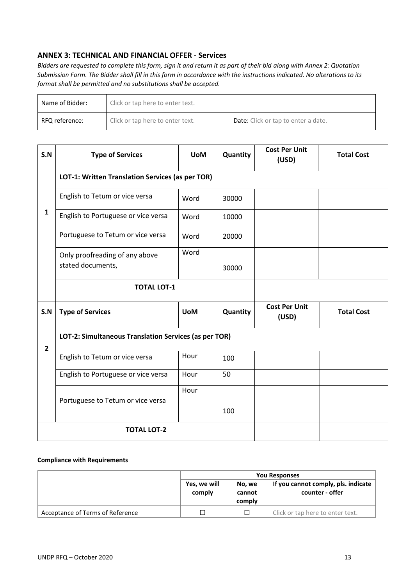# **ANNEX 3: TECHNICAL AND FINANCIAL OFFER - Services**

*Bidders are requested to complete this form, sign it and return it as part of their bid along with Annex 2: Quotation Submission Form. The Bidder shall fill in this form in accordance with the instructions indicated. No alterations to its format shall be permitted and no substitutions shall be accepted.*

| Name of Bidder: | Click or tap here to enter text. |                                            |  |
|-----------------|----------------------------------|--------------------------------------------|--|
| RFQ reference:  | Click or tap here to enter text. | <b>Date:</b> Click or tap to enter a date. |  |

| S.N            | <b>Type of Services</b>                               | <b>UoM</b> | Quantity | <b>Cost Per Unit</b><br>(USD) | <b>Total Cost</b> |
|----------------|-------------------------------------------------------|------------|----------|-------------------------------|-------------------|
|                | LOT-1: Written Translation Services (as per TOR)      |            |          |                               |                   |
|                | English to Tetum or vice versa                        | Word       | 30000    |                               |                   |
| $\mathbf{1}$   | English to Portuguese or vice versa                   | Word       | 10000    |                               |                   |
|                | Portuguese to Tetum or vice versa                     | Word       | 20000    |                               |                   |
|                | Only proofreading of any above                        | Word       |          |                               |                   |
|                | stated documents,                                     |            | 30000    |                               |                   |
|                | <b>TOTAL LOT-1</b>                                    |            |          |                               |                   |
| S.N            | <b>Type of Services</b>                               | <b>UoM</b> | Quantity | <b>Cost Per Unit</b><br>(USD) | <b>Total Cost</b> |
| $\overline{2}$ | LOT-2: Simultaneous Translation Services (as per TOR) |            |          |                               |                   |
|                | English to Tetum or vice versa                        | Hour       | 100      |                               |                   |
|                | English to Portuguese or vice versa                   | Hour       | 50       |                               |                   |
|                |                                                       | Hour       |          |                               |                   |
|                | Portuguese to Tetum or vice versa                     |            | 100      |                               |                   |
|                | <b>TOTAL LOT-2</b>                                    |            |          |                               |                   |

#### **Compliance with Requirements**

|                                  | <b>You Responses</b>   |                            |                                                        |
|----------------------------------|------------------------|----------------------------|--------------------------------------------------------|
|                                  | Yes, we will<br>comply | No. we<br>cannot<br>comply | If you cannot comply, pls. indicate<br>counter - offer |
| Acceptance of Terms of Reference | ⊓                      |                            | Click or tap here to enter text.                       |